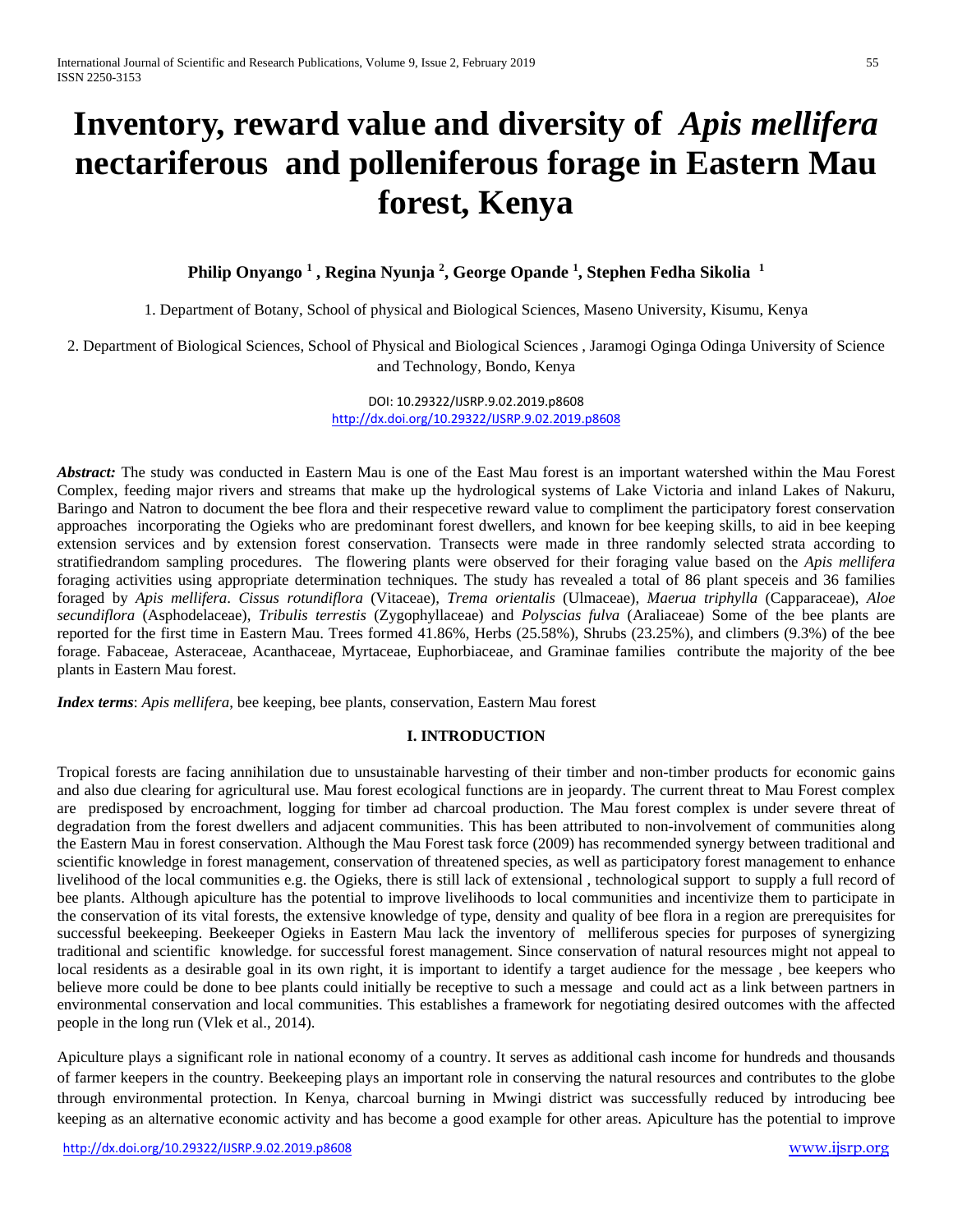# **Inventory, reward value and diversity of** *Apis mellifera* **nectariferous and polleniferous forage in Eastern Mau forest, Kenya**

**Philip Onyango 1 , Regina Nyunja 2 , George Opande 1 , Stephen Fedha Sikolia 1**

1. Department of Botany, School of physical and Biological Sciences, Maseno University, Kisumu, Kenya

2. Department of Biological Sciences, School of Physical and Biological Sciences , Jaramogi Oginga Odinga University of Science and Technology, Bondo, Kenya

> DOI: 10.29322/IJSRP.9.02.2019.p8608 <http://dx.doi.org/10.29322/IJSRP.9.02.2019.p8608>

*Abstract:* The study was conducted in Eastern Mau is one of the East Mau forest is an important watershed within the Mau Forest Complex, feeding major rivers and streams that make up the hydrological systems of Lake Victoria and inland Lakes of Nakuru, Baringo and Natron to document the bee flora and their respecetive reward value to compliment the participatory forest conservation approaches incorporating the Ogieks who are predominant forest dwellers, and known for bee keeping skills, to aid in bee keeping extension services and by extension forest conservation. Transects were made in three randomly selected strata according to stratifiedrandom sampling procedures. The flowering plants were observed for their foraging value based on the *Apis mellifera* foraging activities using appropriate determination techniques. The study has revealed a total of 86 plant speceis and 36 families foraged by *Apis mellifera*. *Cissus rotundiflora* (Vitaceae), *Trema orientalis* (Ulmaceae), *Maerua triphylla* (Capparaceae), *Aloe secundiflora* (Asphodelaceae), *Tribulis terrestis* (Zygophyllaceae) and *Polyscias fulva* (Araliaceae) Some of the bee plants are reported for the first time in Eastern Mau. Trees formed 41.86%, Herbs (25.58%), Shrubs (23.25%), and climbers (9.3%) of the bee forage. Fabaceae, Asteraceae, Acanthaceae, Myrtaceae, Euphorbiaceae, and Graminae families contribute the majority of the bee plants in Eastern Mau forest.

*Index terms*: *Apis mellifera*, bee keeping, bee plants, conservation, Eastern Mau forest

#### **I. INTRODUCTION**

Tropical forests are facing annihilation due to unsustainable harvesting of their timber and non-timber products for economic gains and also due clearing for agricultural use. Mau forest ecological functions are in jeopardy. The current threat to Mau Forest complex are predisposed by encroachment, logging for timber ad charcoal production. The Mau forest complex is under severe threat of degradation from the forest dwellers and adjacent communities. This has been attributed to non-involvement of communities along the Eastern Mau in forest conservation. Although the Mau Forest task force (2009) has recommended synergy between traditional and scientific knowledge in forest management, conservation of threatened species, as well as participatory forest management to enhance livelihood of the local communities e.g. the Ogieks, there is still lack of extensional, technological support to supply a full record of bee plants. Although apiculture has the potential to improve livelihoods to local communities and incentivize them to participate in the conservation of its vital forests, the extensive knowledge of type, density and quality of bee flora in a region are prerequisites for successful beekeeping. Beekeeper Ogieks in Eastern Mau lack the inventory of melliferous species for purposes of synergizing traditional and scientific knowledge. for successful forest management. Since conservation of natural resources might not appeal to local residents as a desirable goal in its own right, it is important to identify a target audience for the message , bee keepers who believe more could be done to bee plants could initially be receptive to such a message and could act as a link between partners in environmental conservation and local communities. This establishes a framework for negotiating desired outcomes with the affected people in the long run (Vlek et al., 2014).

Apiculture plays a significant role in national economy of a country. It serves as additional cash income for hundreds and thousands of farmer keepers in the country. Beekeeping plays an important role in conserving the natural resources and contributes to the globe through environmental protection. In Kenya, charcoal burning in Mwingi district was successfully reduced by introducing bee keeping as an alternative economic activity and has become a good example for other areas. Apiculture has the potential to improve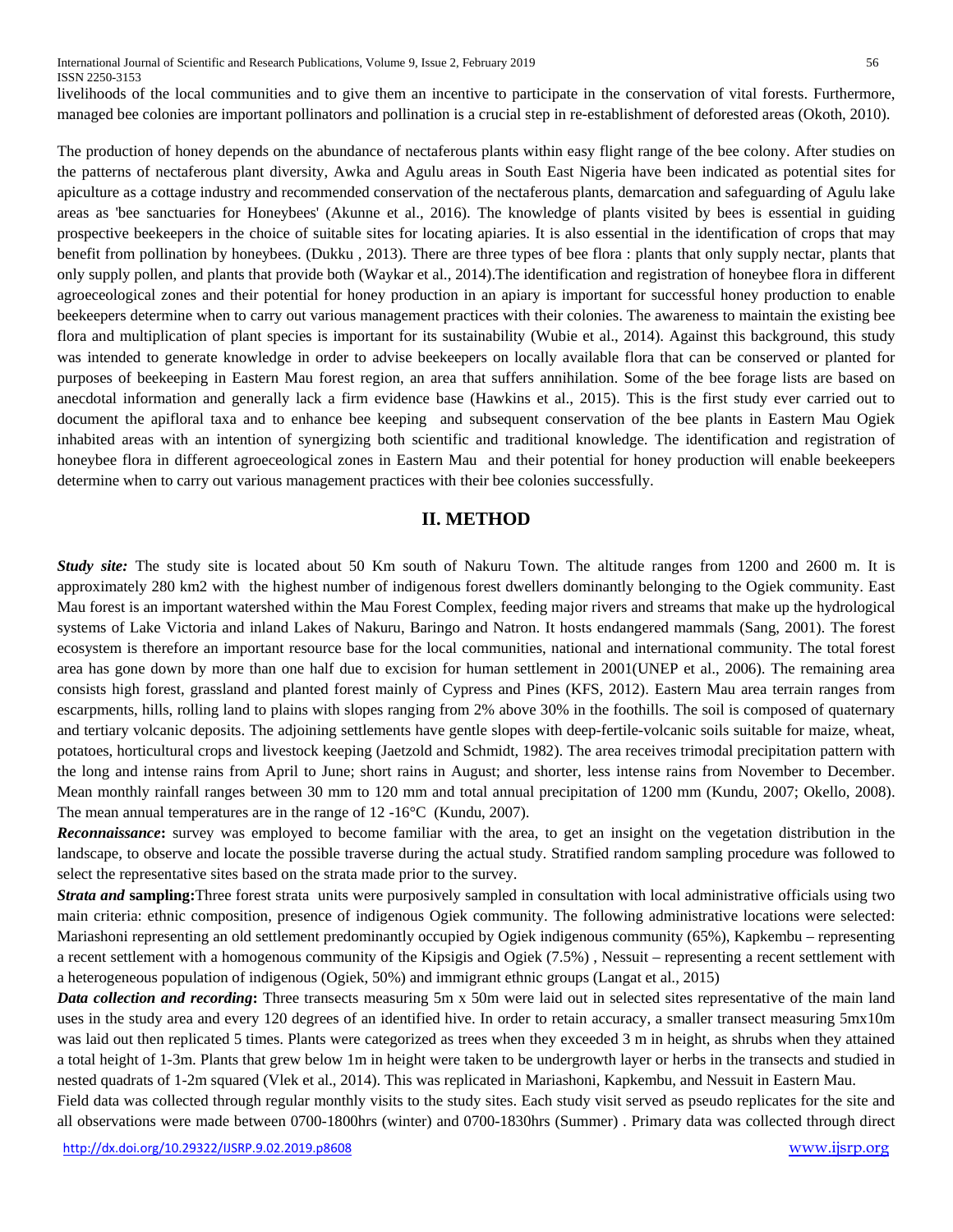livelihoods of the local communities and to give them an incentive to participate in the conservation of vital forests. Furthermore, managed bee colonies are important pollinators and pollination is a crucial step in re-establishment of deforested areas (Okoth, 2010).

The production of honey depends on the abundance of nectaferous plants within easy flight range of the bee colony. After studies on the patterns of nectaferous plant diversity, Awka and Agulu areas in South East Nigeria have been indicated as potential sites for apiculture as a cottage industry and recommended conservation of the nectaferous plants, demarcation and safeguarding of Agulu lake areas as 'bee sanctuaries for Honeybees' (Akunne et al., 2016). The knowledge of plants visited by bees is essential in guiding prospective beekeepers in the choice of suitable sites for locating apiaries. It is also essential in the identification of crops that may benefit from pollination by honeybees. (Dukku , 2013). There are three types of bee flora : plants that only supply nectar, plants that only supply pollen, and plants that provide both (Waykar et al., 2014).The identification and registration of honeybee flora in different agroeceological zones and their potential for honey production in an apiary is important for successful honey production to enable beekeepers determine when to carry out various management practices with their colonies. The awareness to maintain the existing bee flora and multiplication of plant species is important for its sustainability (Wubie et al., 2014). Against this background, this study was intended to generate knowledge in order to advise beekeepers on locally available flora that can be conserved or planted for purposes of beekeeping in Eastern Mau forest region, an area that suffers annihilation. Some of the bee forage lists are based on anecdotal information and generally lack a firm evidence base (Hawkins et al., 2015). This is the first study ever carried out to document the apifloral taxa and to enhance bee keeping and subsequent conservation of the bee plants in Eastern Mau Ogiek inhabited areas with an intention of synergizing both scientific and traditional knowledge. The identification and registration of honeybee flora in different agroeceological zones in Eastern Mau and their potential for honey production will enable beekeepers determine when to carry out various management practices with their bee colonies successfully.

# **II. METHOD**

*Study site:* The study site is located about 50 Km south of Nakuru Town. The altitude ranges from 1200 and 2600 m. It is approximately 280 km2 with the highest number of indigenous forest dwellers dominantly belonging to the Ogiek community. East Mau forest is an important watershed within the Mau Forest Complex, feeding major rivers and streams that make up the hydrological systems of Lake Victoria and inland Lakes of Nakuru, Baringo and Natron. It hosts endangered mammals (Sang, 2001). The forest ecosystem is therefore an important resource base for the local communities, national and international community. The total forest area has gone down by more than one half due to excision for human settlement in 2001(UNEP et al., 2006). The remaining area consists high forest, grassland and planted forest mainly of Cypress and Pines (KFS, 2012). Eastern Mau area terrain ranges from escarpments, hills, rolling land to plains with slopes ranging from 2% above 30% in the foothills. The soil is composed of quaternary and tertiary volcanic deposits. The adjoining settlements have gentle slopes with deep-fertile-volcanic soils suitable for maize, wheat, potatoes, horticultural crops and livestock keeping (Jaetzold and Schmidt, 1982). The area receives trimodal precipitation pattern with the long and intense rains from April to June; short rains in August; and shorter, less intense rains from November to December. Mean monthly rainfall ranges between 30 mm to 120 mm and total annual precipitation of 1200 mm (Kundu, 2007; Okello, 2008). The mean annual temperatures are in the range of 12 -16°C (Kundu, 2007).

*Reconnaissance***:** survey was employed to become familiar with the area, to get an insight on the vegetation distribution in the landscape, to observe and locate the possible traverse during the actual study. Stratified random sampling procedure was followed to select the representative sites based on the strata made prior to the survey.

*Strata and* **sampling:**Three forest strata units were purposively sampled in consultation with local administrative officials using two main criteria: ethnic composition, presence of indigenous Ogiek community. The following administrative locations were selected: Mariashoni representing an old settlement predominantly occupied by Ogiek indigenous community (65%), Kapkembu – representing a recent settlement with a homogenous community of the Kipsigis and Ogiek (7.5%) , Nessuit – representing a recent settlement with a heterogeneous population of indigenous (Ogiek, 50%) and immigrant ethnic groups (Langat et al., 2015)

*Data collection and recording***:** Three transects measuring 5m x 50m were laid out in selected sites representative of the main land uses in the study area and every 120 degrees of an identified hive. In order to retain accuracy, a smaller transect measuring 5mx10m was laid out then replicated 5 times. Plants were categorized as trees when they exceeded 3 m in height, as shrubs when they attained a total height of 1-3m. Plants that grew below 1m in height were taken to be undergrowth layer or herbs in the transects and studied in nested quadrats of 1-2m squared (Vlek et al., 2014). This was replicated in Mariashoni, Kapkembu, and Nessuit in Eastern Mau.

Field data was collected through regular monthly visits to the study sites. Each study visit served as pseudo replicates for the site and all observations were made between 0700-1800hrs (winter) and 0700-1830hrs (Summer) . Primary data was collected through direct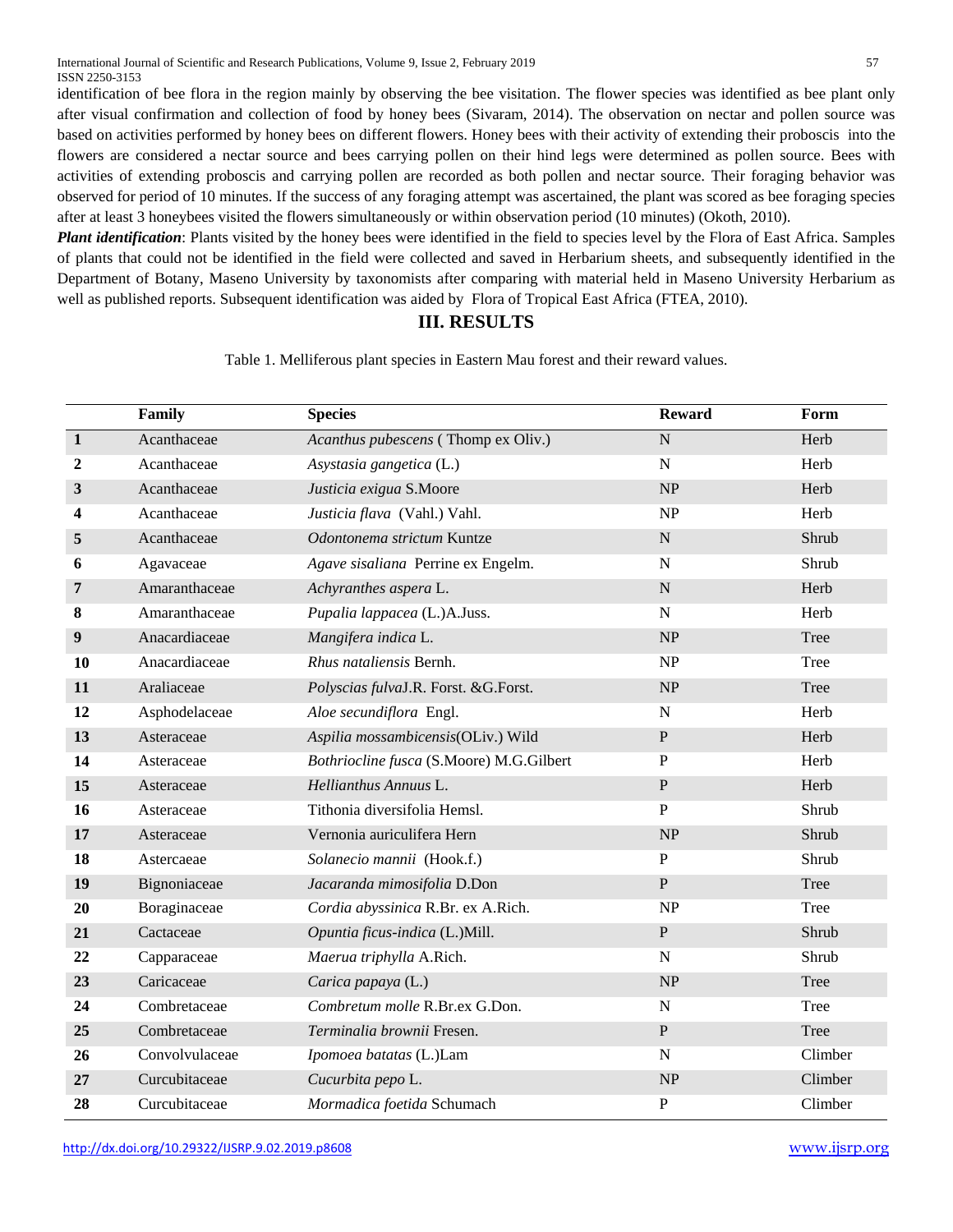identification of bee flora in the region mainly by observing the bee visitation. The flower species was identified as bee plant only after visual confirmation and collection of food by honey bees (Sivaram, 2014). The observation on nectar and pollen source was based on activities performed by honey bees on different flowers. Honey bees with their activity of extending their proboscis into the flowers are considered a nectar source and bees carrying pollen on their hind legs were determined as pollen source. Bees with activities of extending proboscis and carrying pollen are recorded as both pollen and nectar source. Their foraging behavior was observed for period of 10 minutes. If the success of any foraging attempt was ascertained, the plant was scored as bee foraging species after at least 3 honeybees visited the flowers simultaneously or within observation period (10 minutes) (Okoth, 2010).

*Plant identification*: Plants visited by the honey bees were identified in the field to species level by the Flora of East Africa. Samples of plants that could not be identified in the field were collected and saved in Herbarium sheets, and subsequently identified in the Department of Botany, Maseno University by taxonomists after comparing with material held in Maseno University Herbarium as well as published reports. Subsequent identification was aided by Flora of Tropical East Africa (FTEA, 2010).

## **III. RESULTS**

Table 1. Melliferous plant species in Eastern Mau forest and their reward values.

|              | Family         | <b>Species</b>                           | <b>Reward</b> | Form    |
|--------------|----------------|------------------------------------------|---------------|---------|
| $\mathbf{1}$ | Acanthaceae    | Acanthus pubescens (Thomp ex Oliv.)      | N             | Herb    |
| $\mathbf{2}$ | Acanthaceae    | Asystasia gangetica (L.)                 | ${\bf N}$     | Herb    |
| 3            | Acanthaceae    | Justicia exigua S.Moore                  | NP            | Herb    |
| 4            | Acanthaceae    | Justicia flava (Vahl.) Vahl.             | NP            | Herb    |
| 5            | Acanthaceae    | Odontonema strictum Kuntze               | $\mathbf N$   | Shrub   |
| 6            | Agavaceae      | Agave sisaliana Perrine ex Engelm.       | $\mathbf N$   | Shrub   |
| 7            | Amaranthaceae  | Achyranthes aspera L.                    | $\mathbf N$   | Herb    |
| 8            | Amaranthaceae  | Pupalia lappacea (L.)A.Juss.             | ${\bf N}$     | Herb    |
| 9            | Anacardiaceae  | Mangifera indica L.                      | NP            | Tree    |
| 10           | Anacardiaceae  | Rhus nataliensis Bernh.                  | <b>NP</b>     | Tree    |
| 11           | Araliaceae     | Polyscias fulvaJ.R. Forst. &G.Forst.     | NP            | Tree    |
| 12           | Asphodelaceae  | Aloe secundiflora Engl.                  | $\mathbf N$   | Herb    |
| 13           | Asteraceae     | Aspilia mossambicensis(OLiv.) Wild       | $\, {\bf P}$  | Herb    |
| 14           | Asteraceae     | Bothriocline fusca (S.Moore) M.G.Gilbert | $\mathbf{P}$  | Herb    |
| 15           | Asteraceae     | Hellianthus Annuus L.                    | $\mathbf{P}$  | Herb    |
| 16           | Asteraceae     | Tithonia diversifolia Hemsl.             | $\mathbf{P}$  | Shrub   |
| 17           | Asteraceae     | Vernonia auriculifera Hern               | NP            | Shrub   |
| 18           | Astercaeae     | Solanecio mannii (Hook.f.)               | ${\bf P}$     | Shrub   |
| 19           | Bignoniaceae   | Jacaranda mimosifolia D.Don              | ${\bf P}$     | Tree    |
| 20           | Boraginaceae   | Cordia abyssinica R.Br. ex A.Rich.       | NP            | Tree    |
| 21           | Cactaceae      | Opuntia ficus-indica (L.)Mill.           | ${\bf P}$     | Shrub   |
| 22           | Capparaceae    | Maerua triphylla A.Rich.                 | $\mathbf N$   | Shrub   |
| 23           | Caricaceae     | Carica papaya (L.)                       | NP            | Tree    |
| 24           | Combretaceae   | Combretum molle R.Br.ex G.Don.           | ${\bf N}$     | Tree    |
| 25           | Combretaceae   | Terminalia brownii Fresen.               | ${\bf P}$     | Tree    |
| 26           | Convolvulaceae | Ipomoea batatas (L.)Lam                  | $\mathbf N$   | Climber |
| 27           | Curcubitaceae  | Cucurbita pepo L.                        | NP            | Climber |
| 28           | Curcubitaceae  | Mormadica foetida Schumach               | ${\bf P}$     | Climber |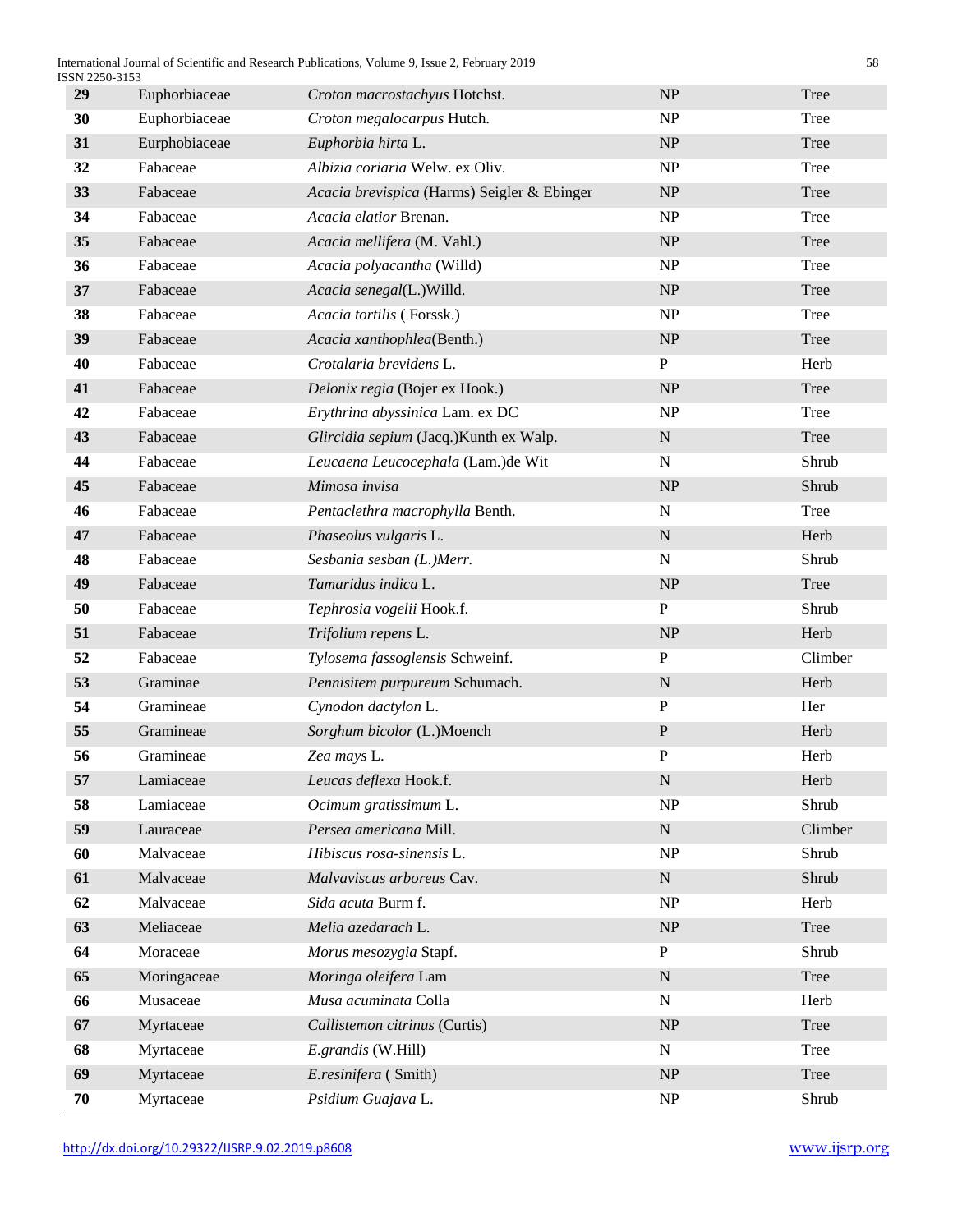| ISSN 2250-3153 |                                             |                                   |         |
|----------------|---------------------------------------------|-----------------------------------|---------|
|                | Croton macrostachyus Hotchst.               |                                   | Tree    |
| Euphorbiaceae  | Croton megalocarpus Hutch.                  | NP                                | Tree    |
| Eurphobiaceae  | Euphorbia hirta L.                          | NP                                | Tree    |
| Fabaceae       | Albizia coriaria Welw. ex Oliv.             | NP                                | Tree    |
| Fabaceae       | Acacia brevispica (Harms) Seigler & Ebinger | NP                                | Tree    |
| Fabaceae       | Acacia elatior Brenan.                      | NP                                | Tree    |
| Fabaceae       | Acacia mellifera (M. Vahl.)                 | NP                                | Tree    |
| Fabaceae       | Acacia polyacantha (Willd)                  | $\ensuremath{\mathbf{NP}}\xspace$ | Tree    |
| Fabaceae       | Acacia senegal(L.)Willd.                    | NP                                | Tree    |
| Fabaceae       | Acacia tortilis (Forssk.)                   | NP                                | Tree    |
| Fabaceae       | Acacia xanthophlea(Benth.)                  | NP                                | Tree    |
| Fabaceae       | Crotalaria brevidens L.                     | ${\bf P}$                         | Herb    |
| Fabaceae       | Delonix regia (Bojer ex Hook.)              | NP                                | Tree    |
| Fabaceae       | Erythrina abyssinica Lam. ex DC             | NP                                | Tree    |
| Fabaceae       | Glircidia sepium (Jacq.) Kunth ex Walp.     | ${\bf N}$                         | Tree    |
| Fabaceae       | Leucaena Leucocephala (Lam.)de Wit          | ${\bf N}$                         | Shrub   |
| Fabaceae       | Mimosa invisa                               | NP                                | Shrub   |
| Fabaceae       | Pentaclethra macrophylla Benth.             | ${\bf N}$                         | Tree    |
| Fabaceae       | Phaseolus vulgaris L.                       | ${\bf N}$                         | Herb    |
| Fabaceae       | Sesbania sesban (L.)Merr.                   | ${\bf N}$                         | Shrub   |
| Fabaceae       | Tamaridus indica L.                         | NP                                | Tree    |
| Fabaceae       | Tephrosia vogelii Hook.f.                   | ${\bf P}$                         | Shrub   |
| Fabaceae       | Trifolium repens L.                         | $\ensuremath{\mathsf{NP}}\xspace$ | Herb    |
| Fabaceae       | Tylosema fassoglensis Schweinf.             | ${\bf P}$                         | Climber |
| Graminae       | Pennisitem purpureum Schumach.              | $\mathbf N$                       | Herb    |
| Gramineae      | Cynodon dactylon L.                         | ${\bf P}$                         | Her     |
| Gramineae      | Sorghum bicolor (L.)Moench                  | ${\bf P}$                         | Herb    |
| Gramineae      | Zea mays L.                                 | ${\bf P}$                         | Herb    |
| Lamiaceae      | Leucas deflexa Hook.f.                      | ${\bf N}$                         | Herb    |
| Lamiaceae      | Ocimum gratissimum L.                       | $\ensuremath{\mathbf{NP}}\xspace$ | Shrub   |
| Lauraceae      | Persea americana Mill.                      | ${\bf N}$                         | Climber |
| Malvaceae      | Hibiscus rosa-sinensis L.                   | $\ensuremath{\mathbf{NP}}\xspace$ | Shrub   |
| Malvaceae      | Malvaviscus arboreus Cav.                   | ${\bf N}$                         | Shrub   |
| Malvaceae      | Sida acuta Burm f.                          | NP                                | Herb    |
| Meliaceae      | Melia azedarach L.                          | NP                                | Tree    |
| Moraceae       | Morus mesozygia Stapf.                      | ${\bf P}$                         | Shrub   |
| Moringaceae    | Moringa oleifera Lam                        | ${\bf N}$                         | Tree    |
| Musaceae       | Musa acuminata Colla                        | N                                 | Herb    |
| Myrtaceae      | Callistemon citrinus (Curtis)               | $\ensuremath{\text{NP}}\xspace$   | Tree    |
| Myrtaceae      | E.grandis (W.Hill)                          | $\mathbf N$                       | Tree    |
| Myrtaceae      | E.resinifera (Smith)                        | NP                                | Tree    |
| Myrtaceae      | Psidium Guajava L.                          | NP                                | Shrub   |
|                | Euphorbiaceae                               |                                   | NP      |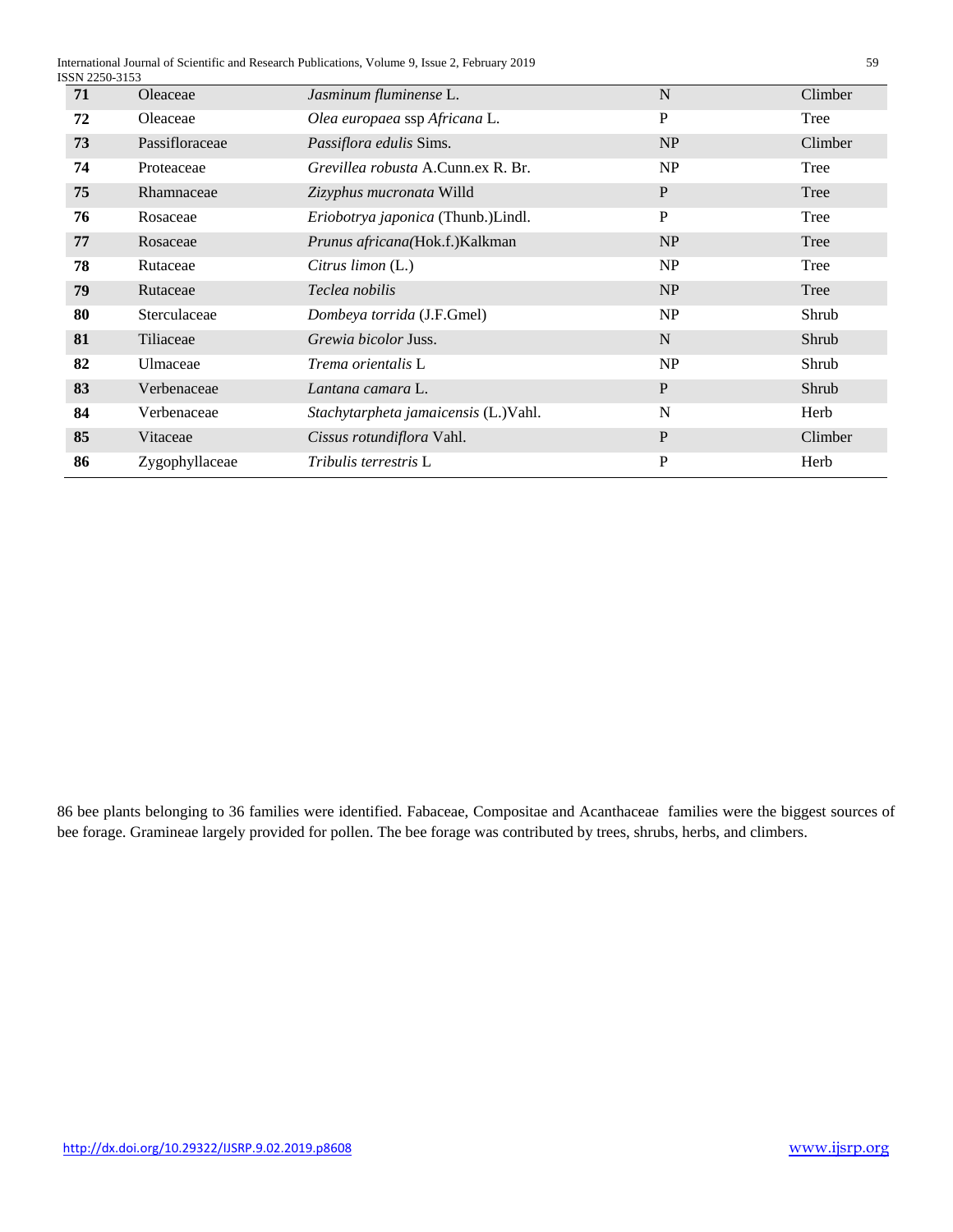International Journal of Scientific and Research Publications, Volume 9, Issue 2, February 2019 59

| ISSN 2250-3153 |                |                                           |              |         |
|----------------|----------------|-------------------------------------------|--------------|---------|
| 71             | Oleaceae       | Jasminum fluminense L.                    | $\mathbf N$  | Climber |
| 72             | Oleaceae       | Olea europaea ssp Africana L.             | P            | Tree    |
| 73             | Passifloraceae | Passiflora edulis Sims.                   | NP           | Climber |
| 74             | Proteaceae     | <i>Grevillea robusta</i> A.Cunn.ex R. Br. | NP           | Tree    |
| 75             | Rhamnaceae     | Zizyphus mucronata Willd                  | $\mathbf{P}$ | Tree    |
| 76             | Rosaceae       | Eriobotrya japonica (Thunb.)Lindl.        | $\mathbf P$  | Tree    |
| 77             | Rosaceae       | Prunus africana(Hok.f.)Kalkman            | <b>NP</b>    | Tree    |
| 78             | Rutaceae       | Citrus limon (L.)                         | NP           | Tree    |
| 79             | Rutaceae       | Teclea nobilis                            | NP           | Tree    |
| 80             | Sterculaceae   | Dombeya torrida (J.F.Gmel)                | NP           | Shrub   |
| 81             | Tiliaceae      | Grewia bicolor Juss.                      | N            | Shrub   |
| 82             | Ulmaceae       | Trema orientalis L                        | NP           | Shrub   |
| 83             | Verbenaceae    | Lantana camara L.                         | P            | Shrub   |
| 84             | Verbenaceae    | Stachytarpheta jamaicensis (L.)Vahl.      | N            | Herb    |
| 85             | Vitaceae       | Cissus rotundiflora Vahl.                 | $\mathbf{P}$ | Climber |
| 86             | Zygophyllaceae | <i>Tribulis terrestris</i> L              | P            | Herb    |

86 bee plants belonging to 36 families were identified. Fabaceae, Compositae and Acanthaceae families were the biggest sources of bee forage. Gramineae largely provided for pollen. The bee forage was contributed by trees, shrubs, herbs, and climbers.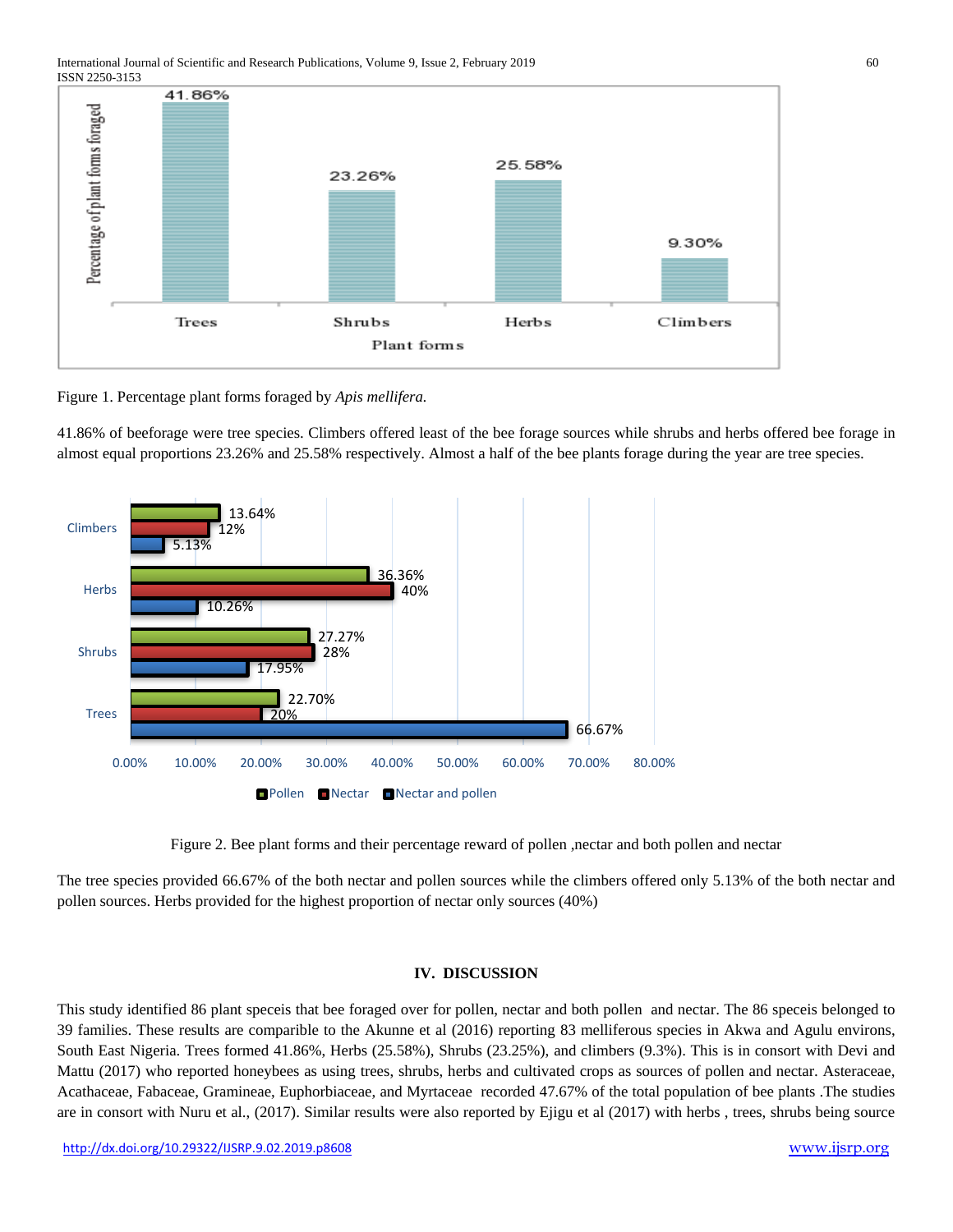

Figure 1. Percentage plant forms foraged by *Apis mellifera.*

41.86% of beeforage were tree species. Climbers offered least of the bee forage sources while shrubs and herbs offered bee forage in almost equal proportions 23.26% and 25.58% respectively. Almost a half of the bee plants forage during the year are tree species.



Figure 2. Bee plant forms and their percentage reward of pollen ,nectar and both pollen and nectar

The tree species provided 66.67% of the both nectar and pollen sources while the climbers offered only 5.13% of the both nectar and pollen sources. Herbs provided for the highest proportion of nectar only sources (40%)

## **IV. DISCUSSION**

This study identified 86 plant speceis that bee foraged over for pollen, nectar and both pollen and nectar. The 86 speceis belonged to 39 families. These results are comparible to the Akunne et al (2016) reporting 83 melliferous species in Akwa and Agulu environs, South East Nigeria. Trees formed 41.86%, Herbs (25.58%), Shrubs (23.25%), and climbers (9.3%). This is in consort with Devi and Mattu (2017) who reported honeybees as using trees, shrubs, herbs and cultivated crops as sources of pollen and nectar. Asteraceae, Acathaceae, Fabaceae, Gramineae, Euphorbiaceae, and Myrtaceae recorded 47.67% of the total population of bee plants .The studies are in consort with Nuru et al., (2017). Similar results were also reported by Ejigu et al (2017) with herbs , trees, shrubs being source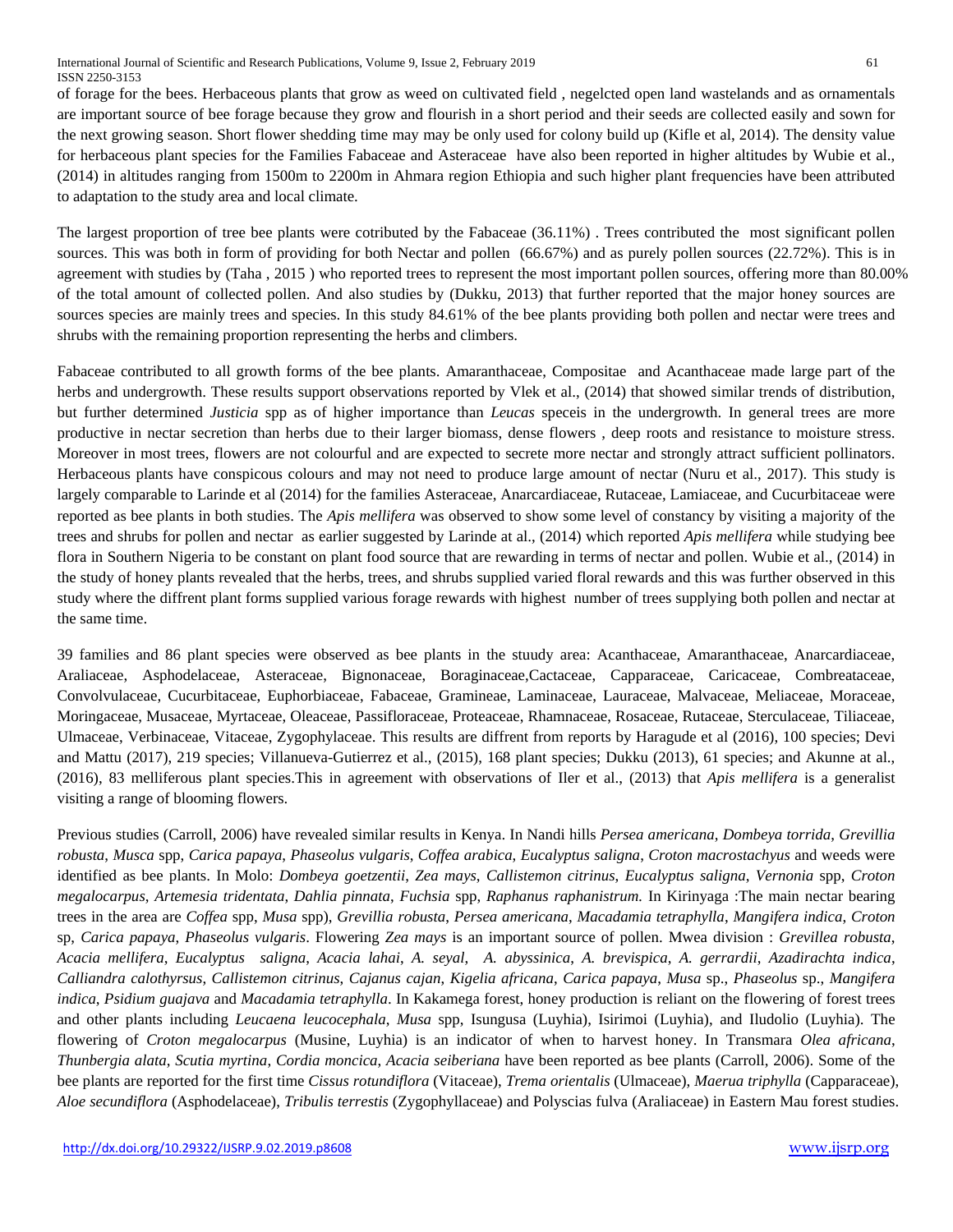of forage for the bees. Herbaceous plants that grow as weed on cultivated field , negelcted open land wastelands and as ornamentals are important source of bee forage because they grow and flourish in a short period and their seeds are collected easily and sown for the next growing season. Short flower shedding time may may be only used for colony build up (Kifle et al, 2014). The density value for herbaceous plant species for the Families Fabaceae and Asteraceae have also been reported in higher altitudes by Wubie et al., (2014) in altitudes ranging from 1500m to 2200m in Ahmara region Ethiopia and such higher plant frequencies have been attributed to adaptation to the study area and local climate.

The largest proportion of tree bee plants were cotributed by the Fabaceae (36.11%) . Trees contributed the most significant pollen sources. This was both in form of providing for both Nectar and pollen (66.67%) and as purely pollen sources (22.72%). This is in agreement with studies by (Taha , 2015 ) who reported trees to represent the most important pollen sources, offering more than 80.00% of the total amount of collected pollen. And also studies by (Dukku, 2013) that further reported that the major honey sources are sources species are mainly trees and species. In this study 84.61% of the bee plants providing both pollen and nectar were trees and shrubs with the remaining proportion representing the herbs and climbers.

Fabaceae contributed to all growth forms of the bee plants. Amaranthaceae, Compositae and Acanthaceae made large part of the herbs and undergrowth. These results support observations reported by Vlek et al., (2014) that showed similar trends of distribution, but further determined *Justicia* spp as of higher importance than *Leucas* speceis in the undergrowth. In general trees are more productive in nectar secretion than herbs due to their larger biomass, dense flowers , deep roots and resistance to moisture stress. Moreover in most trees, flowers are not colourful and are expected to secrete more nectar and strongly attract sufficient pollinators. Herbaceous plants have conspicous colours and may not need to produce large amount of nectar (Nuru et al., 2017). This study is largely comparable to Larinde et al (2014) for the families Asteraceae, Anarcardiaceae, Rutaceae, Lamiaceae, and Cucurbitaceae were reported as bee plants in both studies. The *Apis mellifera* was observed to show some level of constancy by visiting a majority of the trees and shrubs for pollen and nectar as earlier suggested by Larinde at al., (2014) which reported *Apis mellifera* while studying bee flora in Southern Nigeria to be constant on plant food source that are rewarding in terms of nectar and pollen. Wubie et al., (2014) in the study of honey plants revealed that the herbs, trees, and shrubs supplied varied floral rewards and this was further observed in this study where the diffrent plant forms supplied various forage rewards with highest number of trees supplying both pollen and nectar at the same time.

39 families and 86 plant species were observed as bee plants in the stuudy area: Acanthaceae, Amaranthaceae, Anarcardiaceae, Araliaceae, Asphodelaceae, Asteraceae, Bignonaceae, Boraginaceae,Cactaceae, Capparaceae, Caricaceae, Combreataceae, Convolvulaceae, Cucurbitaceae, Euphorbiaceae, Fabaceae, Gramineae, Laminaceae, Lauraceae, Malvaceae, Meliaceae, Moraceae, Moringaceae, Musaceae, Myrtaceae, Oleaceae, Passifloraceae, Proteaceae, Rhamnaceae, Rosaceae, Rutaceae, Sterculaceae, Tiliaceae, Ulmaceae, Verbinaceae, Vitaceae, Zygophylaceae. This results are diffrent from reports by Haragude et al (2016), 100 species; Devi and Mattu (2017), 219 species; Villanueva-Gutierrez et al., (2015), 168 plant species; Dukku (2013), 61 species; and Akunne at al., (2016), 83 melliferous plant species.This in agreement with observations of Iler et al., (2013) that *Apis mellifera* is a generalist visiting a range of blooming flowers.

Previous studies (Carroll, 2006) have revealed similar results in Kenya. In Nandi hills *Persea americana*, *Dombeya torrida*, *Grevillia robusta*, *Musca* spp, *Carica papaya*, *Phaseolus vulgaris*, *Coffea arabica*, *Eucalyptus saligna*, *Croton macrostachyus* and weeds were identified as bee plants. In Molo: *Dombeya goetzentii*, *Zea mays*, *Callistemon citrinus*, *Eucalyptus saligna*, *Vernonia* spp, *Croton megalocarpus*, *Artemesia tridentata*, *Dahlia pinnata*, *Fuchsia* spp, *Raphanus raphanistrum.* In Kirinyaga :The main nectar bearing trees in the area are *Coffea* spp, *Musa* spp), *Grevillia robusta*, *Persea americana*, *Macadamia tetraphylla*, *Mangifera indica*, *Croton*  sp, *Carica papaya*, *Phaseolus vulgaris*. Flowering *Zea mays* is an important source of pollen. Mwea division : *Grevillea robusta*, *Acacia mellifera*, *Eucalyptus saligna*, *Acacia lahai*, *A. seyal*, *A. abyssinica*, *A. brevispica*, *A. gerrardii*, *Azadirachta indica*, *Calliandra calothyrsus*, *Callistemon citrinus*, *Cajanus cajan*, *Kigelia africana*, *Carica papaya*, *Musa* sp., *Phaseolus* sp., *Mangifera indica*, *Psidium guajava* and *Macadamia tetraphylla*. In Kakamega forest, honey production is reliant on the flowering of forest trees and other plants including *Leucaena leucocephala*, *Musa* spp, Isungusa (Luyhia), Isirimoi (Luyhia), and Iludolio (Luyhia). The flowering of *Croton megalocarpus* (Musine, Luyhia) is an indicator of when to harvest honey. In Transmara *Olea africana*, *Thunbergia alata*, *Scutia myrtina*, *Cordia moncica*, *Acacia seiberiana* have been reported as bee plants (Carroll, 2006). Some of the bee plants are reported for the first time *Cissus rotundiflora* (Vitaceae), *Trema orientalis* (Ulmaceae), *Maerua triphylla* (Capparaceae), *Aloe secundiflora* (Asphodelaceae), *Tribulis terrestis* (Zygophyllaceae) and Polyscias fulva (Araliaceae) in Eastern Mau forest studies.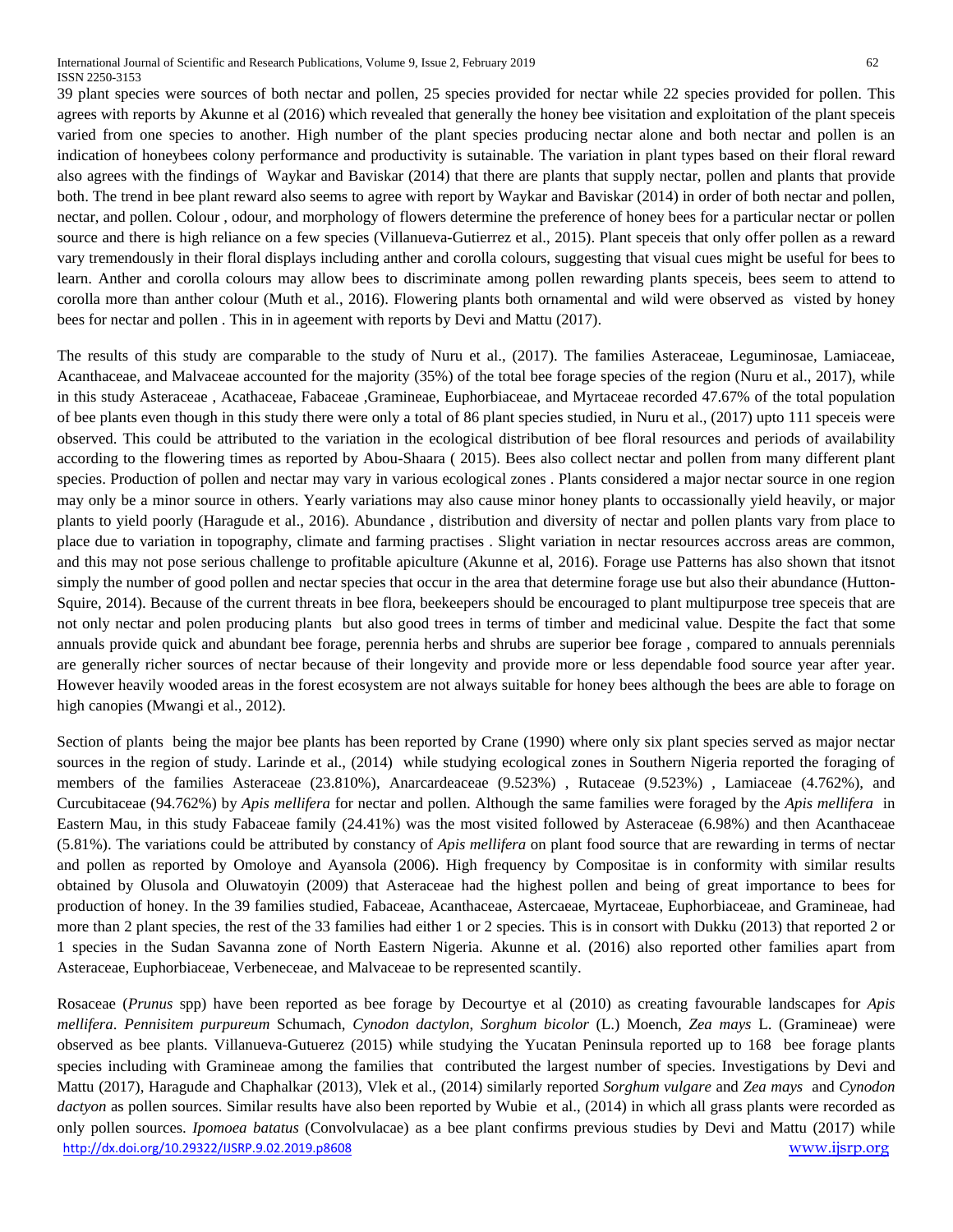International Journal of Scientific and Research Publications, Volume 9, Issue 2, February 2019 62 ISSN 2250-3153

bees for nectar and pollen . This in in ageement with reports by Devi and Mattu (2017).

39 plant species were sources of both nectar and pollen, 25 species provided for nectar while 22 species provided for pollen. This agrees with reports by Akunne et al (2016) which revealed that generally the honey bee visitation and exploitation of the plant speceis varied from one species to another. High number of the plant species producing nectar alone and both nectar and pollen is an indication of honeybees colony performance and productivity is sutainable. The variation in plant types based on their floral reward also agrees with the findings of Waykar and Baviskar (2014) that there are plants that supply nectar, pollen and plants that provide both. The trend in bee plant reward also seems to agree with report by Waykar and Baviskar (2014) in order of both nectar and pollen, nectar, and pollen. Colour , odour, and morphology of flowers determine the preference of honey bees for a particular nectar or pollen source and there is high reliance on a few species (Villanueva-Gutierrez et al., 2015). Plant speceis that only offer pollen as a reward vary tremendously in their floral displays including anther and corolla colours, suggesting that visual cues might be useful for bees to learn. Anther and corolla colours may allow bees to discriminate among pollen rewarding plants speceis, bees seem to attend to corolla more than anther colour (Muth et al., 2016). Flowering plants both ornamental and wild were observed as visted by honey

The results of this study are comparable to the study of Nuru et al., (2017). The families Asteraceae, Leguminosae, Lamiaceae, Acanthaceae, and Malvaceae accounted for the majority (35%) of the total bee forage species of the region (Nuru et al., 2017), while in this study Asteraceae , Acathaceae, Fabaceae ,Gramineae, Euphorbiaceae, and Myrtaceae recorded 47.67% of the total population of bee plants even though in this study there were only a total of 86 plant species studied, in Nuru et al., (2017) upto 111 speceis were observed. This could be attributed to the variation in the ecological distribution of bee floral resources and periods of availability according to the flowering times as reported by Abou-Shaara ( 2015). Bees also collect nectar and pollen from many different plant species. Production of pollen and nectar may vary in various ecological zones . Plants considered a major nectar source in one region may only be a minor source in others. Yearly variations may also cause minor honey plants to occassionally yield heavily, or major plants to yield poorly (Haragude et al., 2016). Abundance , distribution and diversity of nectar and pollen plants vary from place to place due to variation in topography, climate and farming practises . Slight variation in nectar resources accross areas are common, and this may not pose serious challenge to profitable apiculture (Akunne et al, 2016). Forage use Patterns has also shown that itsnot simply the number of good pollen and nectar species that occur in the area that determine forage use but also their abundance (Hutton-Squire, 2014). Because of the current threats in bee flora, beekeepers should be encouraged to plant multipurpose tree speceis that are not only nectar and polen producing plants but also good trees in terms of timber and medicinal value. Despite the fact that some annuals provide quick and abundant bee forage, perennia herbs and shrubs are superior bee forage , compared to annuals perennials are generally richer sources of nectar because of their longevity and provide more or less dependable food source year after year. However heavily wooded areas in the forest ecosystem are not always suitable for honey bees although the bees are able to forage on high canopies (Mwangi et al., 2012).

Section of plants being the major bee plants has been reported by Crane (1990) where only six plant species served as major nectar sources in the region of study. Larinde et al., (2014) while studying ecological zones in Southern Nigeria reported the foraging of members of the families Asteraceae (23.810%), Anarcardeaceae (9.523%) , Rutaceae (9.523%) , Lamiaceae (4.762%), and Curcubitaceae (94.762%) by *Apis mellifera* for nectar and pollen. Although the same families were foraged by the *Apis mellifera* in Eastern Mau, in this study Fabaceae family (24.41%) was the most visited followed by Asteraceae (6.98%) and then Acanthaceae (5.81%). The variations could be attributed by constancy of *Apis mellifera* on plant food source that are rewarding in terms of nectar and pollen as reported by Omoloye and Ayansola (2006). High frequency by Compositae is in conformity with similar results obtained by Olusola and Oluwatoyin (2009) that Asteraceae had the highest pollen and being of great importance to bees for production of honey. In the 39 families studied, Fabaceae, Acanthaceae, Astercaeae, Myrtaceae, Euphorbiaceae, and Gramineae, had more than 2 plant species, the rest of the 33 families had either 1 or 2 species. This is in consort with Dukku (2013) that reported 2 or 1 species in the Sudan Savanna zone of North Eastern Nigeria. Akunne et al. (2016) also reported other families apart from Asteraceae, Euphorbiaceae, Verbeneceae, and Malvaceae to be represented scantily.

<http://dx.doi.org/10.29322/IJSRP.9.02.2019.p8608> [www.ijsrp.org](http://ijsrp.org/) Rosaceae (*Prunus* spp) have been reported as bee forage by Decourtye et al (2010) as creating favourable landscapes for *Apis mellifera*. *Pennisitem purpureum* Schumach, *Cynodon dactylon*, *Sorghum bicolor* (L.) Moench, *Zea mays* L. (Gramineae) were observed as bee plants. Villanueva-Gutuerez (2015) while studying the Yucatan Peninsula reported up to 168 bee forage plants species including with Gramineae among the families that contributed the largest number of species. Investigations by Devi and Mattu (2017), Haragude and Chaphalkar (2013), Vlek et al., (2014) similarly reported *Sorghum vulgare* and *Zea mays* and *Cynodon dactyon* as pollen sources. Similar results have also been reported by Wubie et al., (2014) in which all grass plants were recorded as only pollen sources. *Ipomoea batatus* (Convolvulacae) as a bee plant confirms previous studies by Devi and Mattu (2017) while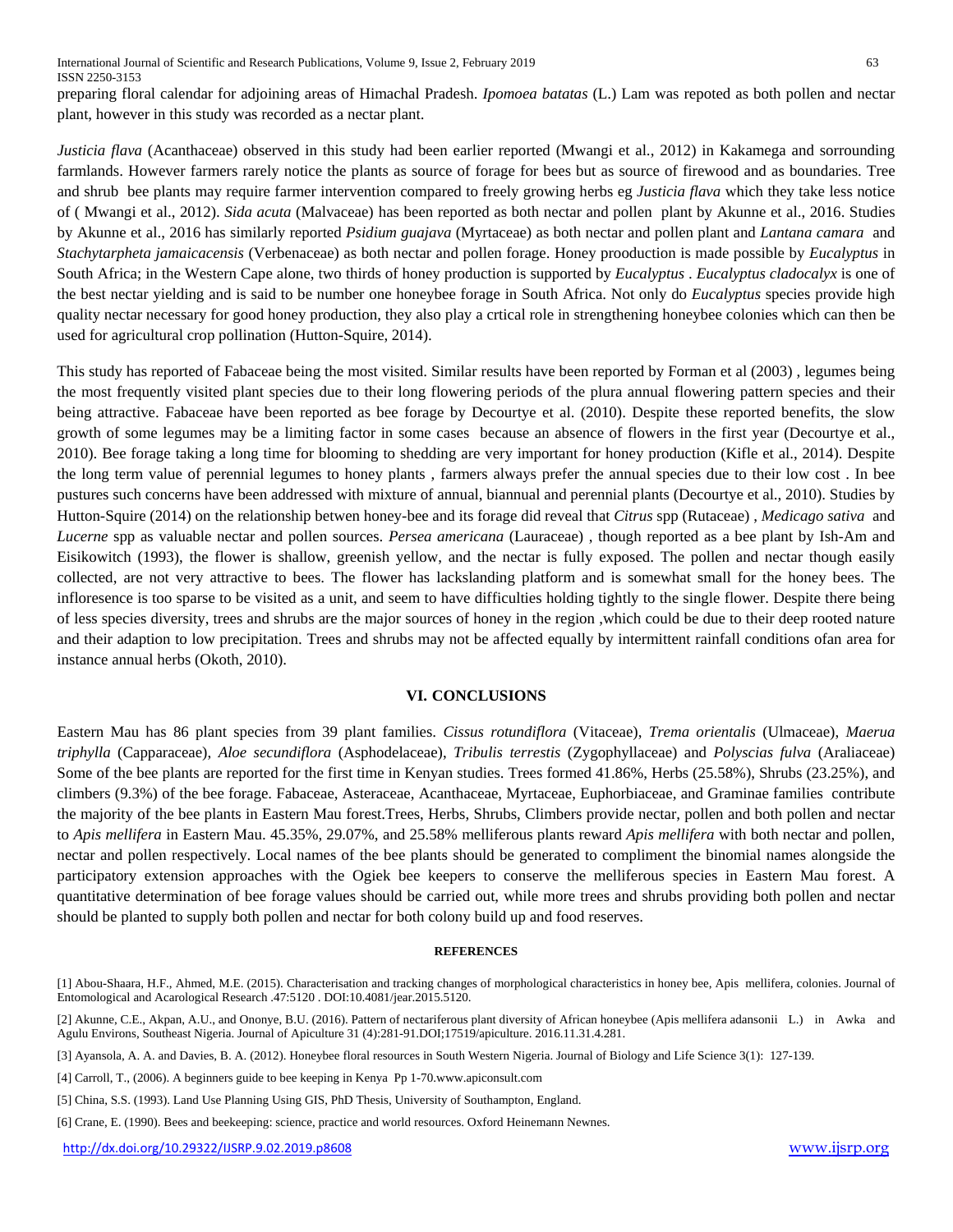preparing floral calendar for adjoining areas of Himachal Pradesh. *Ipomoea batatas* (L.) Lam was repoted as both pollen and nectar plant, however in this study was recorded as a nectar plant.

*Justicia flava* (Acanthaceae) observed in this study had been earlier reported (Mwangi et al., 2012) in Kakamega and sorrounding farmlands. However farmers rarely notice the plants as source of forage for bees but as source of firewood and as boundaries. Tree and shrub bee plants may require farmer intervention compared to freely growing herbs eg *Justicia flava* which they take less notice of ( Mwangi et al., 2012). *Sida acuta* (Malvaceae) has been reported as both nectar and pollen plant by Akunne et al., 2016. Studies by Akunne et al., 2016 has similarly reported *Psidium guajava* (Myrtaceae) as both nectar and pollen plant and *Lantana camara* and *Stachytarpheta jamaicacensis* (Verbenaceae) as both nectar and pollen forage. Honey prooduction is made possible by *Eucalyptus* in South Africa; in the Western Cape alone, two thirds of honey production is supported by *Eucalyptus* . *Eucalyptus cladocalyx* is one of the best nectar yielding and is said to be number one honeybee forage in South Africa. Not only do *Eucalyptus* species provide high quality nectar necessary for good honey production, they also play a crtical role in strengthening honeybee colonies which can then be used for agricultural crop pollination (Hutton-Squire, 2014).

This study has reported of Fabaceae being the most visited. Similar results have been reported by Forman et al (2003) , legumes being the most frequently visited plant species due to their long flowering periods of the plura annual flowering pattern species and their being attractive. Fabaceae have been reported as bee forage by Decourtye et al. (2010). Despite these reported benefits, the slow growth of some legumes may be a limiting factor in some cases because an absence of flowers in the first year (Decourtye et al., 2010). Bee forage taking a long time for blooming to shedding are very important for honey production (Kifle et al., 2014). Despite the long term value of perennial legumes to honey plants , farmers always prefer the annual species due to their low cost . In bee pustures such concerns have been addressed with mixture of annual, biannual and perennial plants (Decourtye et al., 2010). Studies by Hutton-Squire (2014) on the relationship betwen honey-bee and its forage did reveal that *Citrus* spp (Rutaceae) , *Medicago sativa* and *Lucerne* spp as valuable nectar and pollen sources. *Persea americana* (Lauraceae) , though reported as a bee plant by Ish-Am and Eisikowitch (1993), the flower is shallow, greenish yellow, and the nectar is fully exposed. The pollen and nectar though easily collected, are not very attractive to bees. The flower has lackslanding platform and is somewhat small for the honey bees. The infloresence is too sparse to be visited as a unit, and seem to have difficulties holding tightly to the single flower. Despite there being of less species diversity, trees and shrubs are the major sources of honey in the region ,which could be due to their deep rooted nature and their adaption to low precipitation. Trees and shrubs may not be affected equally by intermittent rainfall conditions ofan area for instance annual herbs (Okoth, 2010).

#### **VI. CONCLUSIONS**

Eastern Mau has 86 plant species from 39 plant families. *Cissus rotundiflora* (Vitaceae), *Trema orientalis* (Ulmaceae), *Maerua triphylla* (Capparaceae), *Aloe secundiflora* (Asphodelaceae), *Tribulis terrestis* (Zygophyllaceae) and *Polyscias fulva* (Araliaceae) Some of the bee plants are reported for the first time in Kenyan studies. Trees formed 41.86%, Herbs (25.58%), Shrubs (23.25%), and climbers (9.3%) of the bee forage. Fabaceae, Asteraceae, Acanthaceae, Myrtaceae, Euphorbiaceae, and Graminae families contribute the majority of the bee plants in Eastern Mau forest.Trees, Herbs, Shrubs, Climbers provide nectar, pollen and both pollen and nectar to *Apis mellifera* in Eastern Mau. 45.35%, 29.07%, and 25.58% melliferous plants reward *Apis mellifera* with both nectar and pollen, nectar and pollen respectively. Local names of the bee plants should be generated to compliment the binomial names alongside the participatory extension approaches with the Ogiek bee keepers to conserve the melliferous species in Eastern Mau forest. A quantitative determination of bee forage values should be carried out, while more trees and shrubs providing both pollen and nectar should be planted to supply both pollen and nectar for both colony build up and food reserves.

#### **REFERENCES**

<sup>[1]</sup> Abou-Shaara, H.F., Ahmed, M.E. (2015). Characterisation and tracking changes of morphological characteristics in honey bee, Apis mellifera, colonies. Journal of Entomological and Acarological Research .47:5120 . DOI:10.4081/jear.2015.5120.

<sup>[2]</sup> Akunne, C.E., Akpan, A.U., and Ononye, B.U. (2016). Pattern of nectariferous plant diversity of African honeybee (Apis mellifera adansonii L.) in Awka and Agulu Environs, Southeast Nigeria. Journal of Apiculture 31 (4):281-91.DOI;17519/apiculture. 2016.11.31.4.281.

<sup>[3]</sup> Ayansola, A. A. and Davies, B. A. (2012). Honeybee floral resources in South Western Nigeria. Journal of Biology and Life Science 3(1): 127-139.

<sup>[4]</sup> Carroll, T., (2006). A beginners guide to bee keeping in Kenya Pp 1-70.www.apiconsult.com

<sup>[5]</sup> China, S.S. (1993). Land Use Planning Using GIS, PhD Thesis, University of Southampton, England.

<sup>[6]</sup> Crane, E. (1990). Bees and beekeeping: science, practice and world resources. Oxford Heinemann Newnes.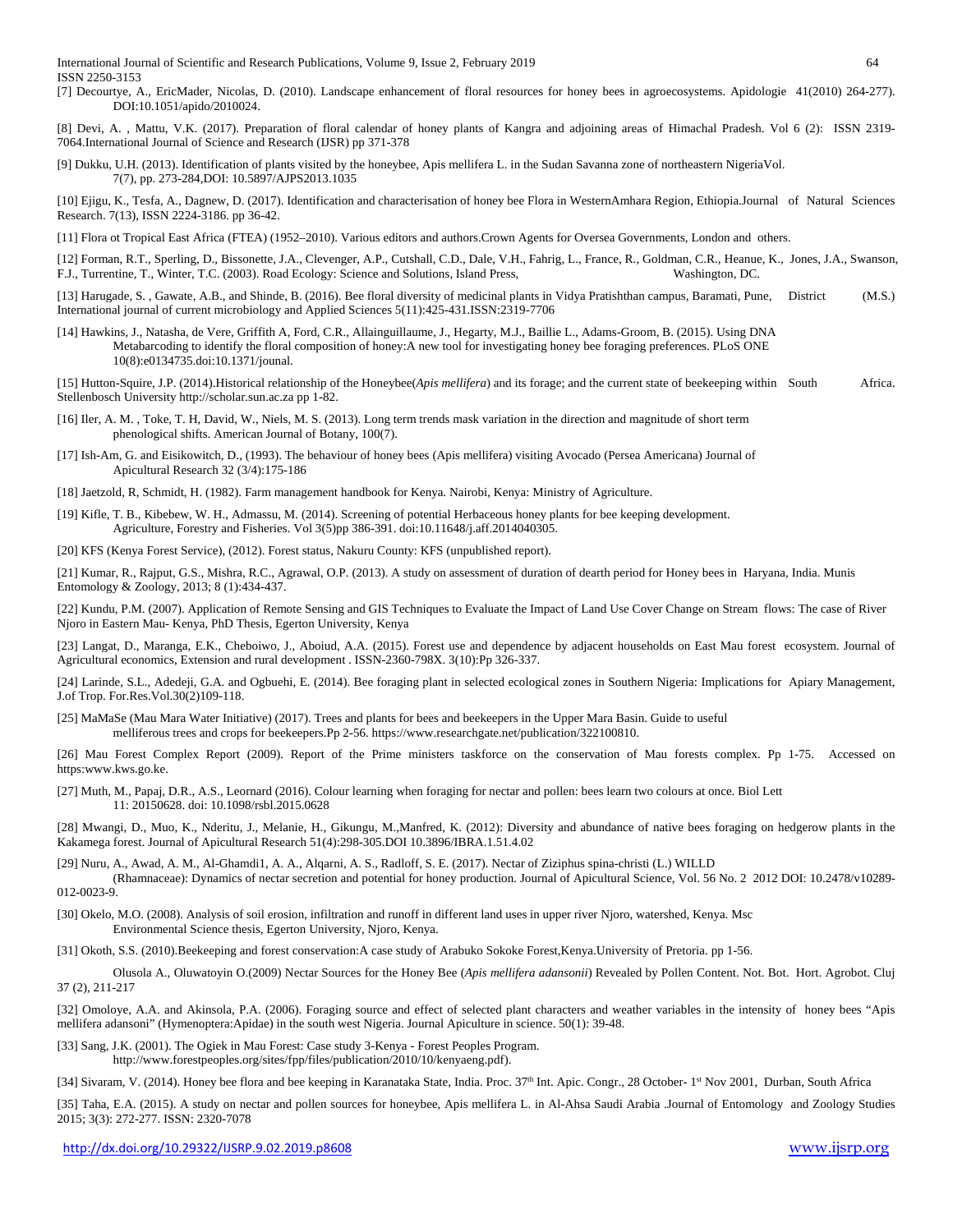International Journal of Scientific and Research Publications, Volume 9, Issue 2, February 2019 64 ISSN 2250-3153

- [7] Decourtye, A., EricMader, Nicolas, D. (2010). Landscape enhancement of floral resources for honey bees in agroecosystems. Apidologie 41(2010) 264-277). DOI:10.1051/apido/2010024.
- [8] Devi, A. , Mattu, V.K. (2017). Preparation of floral calendar of honey plants of Kangra and adjoining areas of Himachal Pradesh. Vol 6 (2): ISSN 2319- 7064.International Journal of Science and Research (IJSR) pp 371-378
- [9] Dukku, U.H. (2013). Identification of plants visited by the honeybee, Apis mellifera L. in the Sudan Savanna zone of northeastern NigeriaVol. 7(7), pp. 273-284,DOI: 10.5897/AJPS2013.1035
- [10] Ejigu, K., Tesfa, A., Dagnew, D. (2017). Identification and characterisation of honey bee Flora in WesternAmhara Region, Ethiopia.Journal of Natural Sciences Research. 7(13), ISSN 2224-3186. pp 36-42.
- [11] Flora ot Tropical East Africa (FTEA) (1952–2010). Various editors and authors.Crown Agents for Oversea Governments, London and others.
- [12] Forman, R.T., Sperling, D., Bissonette, J.A., Clevenger, A.P., Cutshall, C.D., Dale, V.H., Fahrig, L., France, R., Goldman, C.R., Heanue, K., Jones, J.A., Swanson, F.J., Turrentine, T., Winter, T.C. (2003). Road Ecology: Science and Solutions, Island Press, Washington, DC.
- [13] Harugade, S. , Gawate, A.B., and Shinde, B. (2016). Bee floral diversity of medicinal plants in Vidya Pratishthan campus, Baramati, Pune, District (M.S.) International journal of current microbiology and Applied Sciences 5(11):425-431.ISSN:2319-7706
- [14] Hawkins, J., Natasha, de Vere, Griffith A, Ford, C.R., Allainguillaume, J., Hegarty, M.J., Baillie L., Adams-Groom, B. (2015). Using DNA Metabarcoding to identify the floral composition of honey:A new tool for investigating honey bee foraging preferences. PLoS ONE 10(8):e0134735.doi:10.1371/jounal.

[15] Hutton-Squire, J.P. (2014).Historical relationship of the Honeybee(*Apis mellifera*) and its forage; and the current state of beekeeping within South Africa. Stellenbosch University http://scholar.sun.ac.za pp 1-82.

- [16] Iler, A. M., Toke, T. H, David, W., Niels, M. S. (2013). Long term trends mask variation in the direction and magnitude of short term phenological shifts. American Journal of Botany, 100(7).
- [17] Ish-Am, G. and Eisikowitch, D., (1993). The behaviour of honey bees (Apis mellifera) visiting Avocado (Persea Americana) Journal of Apicultural Research 32 (3/4):175-186
- [18] Jaetzold, R, Schmidt, H. (1982). Farm management handbook for Kenya. Nairobi, Kenya: Ministry of Agriculture.
- [19] Kifle, T. B., Kibebew, W. H., Admassu, M. (2014). Screening of potential Herbaceous honey plants for bee keeping development. Agriculture, Forestry and Fisheries. Vol 3(5)pp 386-391. doi:10.11648/j.aff.2014040305.
- [20] KFS (Kenya Forest Service), (2012). Forest status, Nakuru County: KFS (unpublished report).

[21] Kumar, R., Rajput, G.S., Mishra, R.C., Agrawal, O.P. (2013). A study on assessment of duration of dearth period for Honey bees in Haryana, India. Munis Entomology & Zoology, 2013; 8 (1):434-437.

[22] Kundu, P.M. (2007). Application of Remote Sensing and GIS Techniques to Evaluate the Impact of Land Use Cover Change on Stream flows: The case of River Njoro in Eastern Mau- Kenya, PhD Thesis, Egerton University, Kenya

[23] Langat, D., Maranga, E.K., Cheboiwo, J., Aboiud, A.A. (2015). Forest use and dependence by adjacent households on East Mau forest ecosystem. Journal of Agricultural economics, Extension and rural development . ISSN-2360-798X. 3(10):Pp 326-337.

[24] Larinde, S.L., Adedeji, G.A. and Ogbuehi, E. (2014). Bee foraging plant in selected ecological zones in Southern Nigeria: Implications for Apiary Management, J.of Trop. For.Res.Vol.30(2)109-118.

- [25] MaMaSe (Mau Mara Water Initiative) (2017). Trees and plants for bees and beekeepers in the Upper Mara Basin. Guide to useful melliferous trees and crops for beekeepers.Pp 2-56. https://www.researchgate.net/publication/322100810.
- [26] Mau Forest Complex Report (2009). Report of the Prime ministers taskforce on the conservation of Mau forests complex. Pp 1-75. Accessed on https:www.kws.go.ke.
- [27] Muth, M., Papaj, D.R., A.S., Leornard (2016). Colour learning when foraging for nectar and pollen: bees learn two colours at once. Biol Lett 11: 20150628. doi: 10.1098/rsbl.2015.0628
- [28] Mwangi, D., Muo, K., Nderitu, J., Melanie, H., Gikungu, M.,Manfred, K. (2012): Diversity and abundance of native bees foraging on hedgerow plants in the Kakamega forest. Journal of Apicultural Research 51(4):298-305.DOI 10.3896/IBRA.1.51.4.02
- [29] Nuru, A., Awad, A. M., Al-Ghamdi1, A. A., Alqarni, A. S., Radloff, S. E. (2017). Nectar of Ziziphus spina-christi (L.) WILLD (Rhamnaceae): Dynamics of nectar secretion and potential for honey production. Journal of Apicultural Science, Vol. 56 No. 2 2012 DOI: 10.2478/v10289- 012-0023-9.
- [30] Okelo, M.O. (2008). Analysis of soil erosion, infiltration and runoff in different land uses in upper river Njoro, watershed, Kenya. Msc Environmental Science thesis, Egerton University, Njoro, Kenya.

[31] Okoth, S.S. (2010).Beekeeping and forest conservation:A case study of Arabuko Sokoke Forest,Kenya.University of Pretoria. pp 1-56.

Olusola A., Oluwatoyin O.(2009) Nectar Sources for the Honey Bee (*Apis mellifera adansonii*) Revealed by Pollen Content. Not. Bot. Hort. Agrobot. Cluj 37 (2), 211-217

[32] Omoloye, A.A. and Akinsola, P.A. (2006). Foraging source and effect of selected plant characters and weather variables in the intensity of honey bees "Apis mellifera adansoni" (Hymenoptera:Apidae) in the south west Nigeria. Journal Apiculture in science. 50(1): 39-48.

[33] Sang, J.K. (2001). The Ogiek in Mau Forest: Case study 3-Kenya - Forest Peoples Program. http://www.forestpeoples.org/sites/fpp/files/publication/2010/10/kenyaeng.pdf).

[34] Sivaram, V. (2014). Honey bee flora and bee keeping in Karanataka State, India. Proc. 37<sup>th</sup> Int. Apic. Congr., 28 October- 1<sup>st</sup> Nov 2001, Durban, South Africa

[35] Taha, E.A. (2015). A study on nectar and pollen sources for honeybee, Apis mellifera L. in Al-Ahsa Saudi Arabia .Journal of Entomology and Zoology Studies 2015; 3(3): 272-277. ISSN: 2320-7078